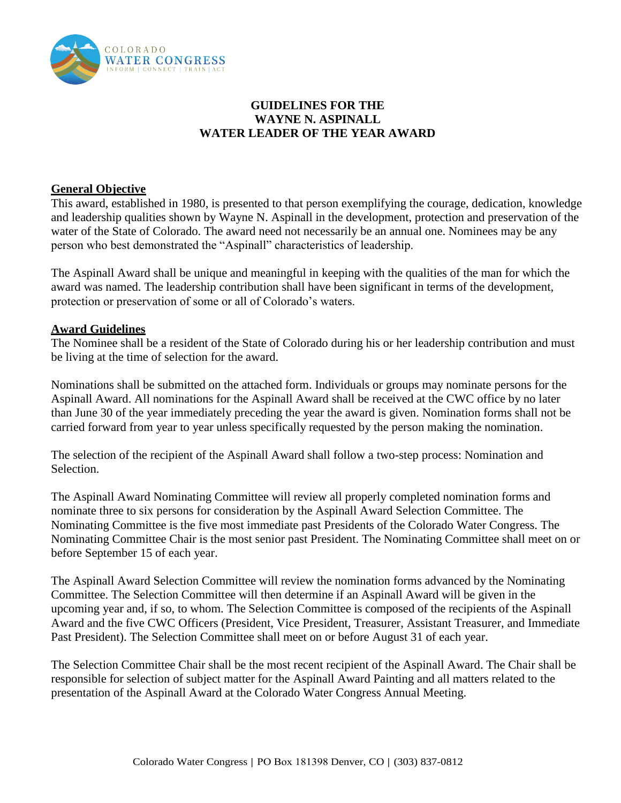

## **GUIDELINES FOR THE WAYNE N. ASPINALL WATER LEADER OF THE YEAR AWARD**

### **General Objective**

This award, established in 1980, is presented to that person exemplifying the courage, dedication, knowledge and leadership qualities shown by Wayne N. Aspinall in the development, protection and preservation of the water of the State of Colorado. The award need not necessarily be an annual one. Nominees may be any person who best demonstrated the "Aspinall" characteristics of leadership.

The Aspinall Award shall be unique and meaningful in keeping with the qualities of the man for which the award was named. The leadership contribution shall have been significant in terms of the development, protection or preservation of some or all of Colorado's waters.

#### **Award Guidelines**

The Nominee shall be a resident of the State of Colorado during his or her leadership contribution and must be living at the time of selection for the award.

Nominations shall be submitted on the attached form. Individuals or groups may nominate persons for the Aspinall Award. All nominations for the Aspinall Award shall be received at the CWC office by no later than June 30 of the year immediately preceding the year the award is given. Nomination forms shall not be carried forward from year to year unless specifically requested by the person making the nomination.

The selection of the recipient of the Aspinall Award shall follow a two-step process: Nomination and Selection.

The Aspinall Award Nominating Committee will review all properly completed nomination forms and nominate three to six persons for consideration by the Aspinall Award Selection Committee. The Nominating Committee is the five most immediate past Presidents of the Colorado Water Congress. The Nominating Committee Chair is the most senior past President. The Nominating Committee shall meet on or before September 15 of each year.

The Aspinall Award Selection Committee will review the nomination forms advanced by the Nominating Committee. The Selection Committee will then determine if an Aspinall Award will be given in the upcoming year and, if so, to whom. The Selection Committee is composed of the recipients of the Aspinall Award and the five CWC Officers (President, Vice President, Treasurer, Assistant Treasurer, and Immediate Past President). The Selection Committee shall meet on or before August 31 of each year.

The Selection Committee Chair shall be the most recent recipient of the Aspinall Award. The Chair shall be responsible for selection of subject matter for the Aspinall Award Painting and all matters related to the presentation of the Aspinall Award at the Colorado Water Congress Annual Meeting.